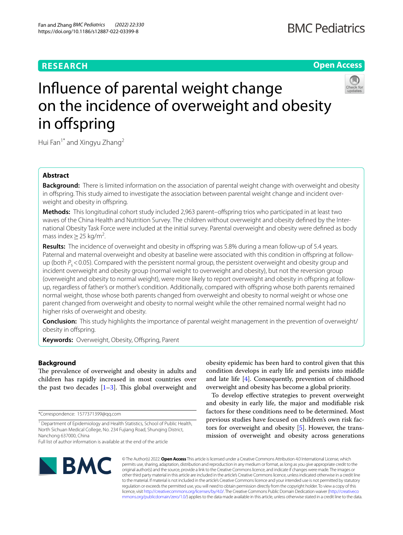# **RESEARCH**

# **Open Access**



# Infuence of parental weight change on the incidence of overweight and obesity in offspring

Hui Fan<sup>1\*</sup> and Xingyu Zhang<sup>2</sup>

# **Abstract**

**Background:** There is limited information on the association of parental weight change with overweight and obesity in offspring. This study aimed to investigate the association between parental weight change and incident overweight and obesity in offspring.

**Methods:** This longitudinal cohort study included 2,963 parent–ofspring trios who participated in at least two waves of the China Health and Nutrition Survey. The children without overweight and obesity defned by the International Obesity Task Force were included at the initial survey. Parental overweight and obesity were defned as body mass index  $>$  25 kg/m<sup>2</sup>. .

Results: The incidence of overweight and obesity in offspring was 5.8% during a mean follow-up of 5.4 years. Paternal and maternal overweight and obesity at baseline were associated with this condition in offspring at followup (both  $P_s$  < 0.05). Compared with the persistent normal group, the persistent overweight and obesity group and incident overweight and obesity group (normal weight to overweight and obesity), but not the reversion group (overweight and obesity to normal weight), were more likely to report overweight and obesity in offspring at followup, regardless of father's or mother's condition. Additionally, compared with ofspring whose both parents remained normal weight, those whose both parents changed from overweight and obesity to normal weight or whose one parent changed from overweight and obesity to normal weight while the other remained normal weight had no higher risks of overweight and obesity.

**Conclusion:** This study highlights the importance of parental weight management in the prevention of overweight/ obesity in ofspring.

**Keywords:** Overweight, Obesity, Offspring, Parent

# **Background**

The prevalence of overweight and obesity in adults and children has rapidly increased in most countries over the past two decades  $[1-3]$  $[1-3]$ . This global overweight and

\*Correspondence: 1577371399@qq.com

obesity epidemic has been hard to control given that this condition develops in early life and persists into middle and late life [\[4](#page-6-2)]. Consequently, prevention of childhood overweight and obesity has become a global priority.

To develop efective strategies to prevent overweight and obesity in early life, the major and modifable risk factors for these conditions need to be determined. Most previous studies have focused on children's own risk factors for overweight and obesity [\[5](#page-6-3)]. However, the transmission of overweight and obesity across generations



© The Author(s) 2022. **Open Access** This article is licensed under a Creative Commons Attribution 4.0 International License, which permits use, sharing, adaptation, distribution and reproduction in any medium or format, as long as you give appropriate credit to the original author(s) and the source, provide a link to the Creative Commons licence, and indicate if changes were made. The images or other third party material in this article are included in the article's Creative Commons licence, unless indicated otherwise in a credit line to the material. If material is not included in the article's Creative Commons licence and your intended use is not permitted by statutory regulation or exceeds the permitted use, you will need to obtain permission directly from the copyright holder. To view a copy of this licence, visit [http://creativecommons.org/licenses/by/4.0/.](http://creativecommons.org/licenses/by/4.0/) The Creative Commons Public Domain Dedication waiver ([http://creativeco](http://creativecommons.org/publicdomain/zero/1.0/) [mmons.org/publicdomain/zero/1.0/](http://creativecommons.org/publicdomain/zero/1.0/)) applies to the data made available in this article, unless otherwise stated in a credit line to the data.

<sup>&</sup>lt;sup>1</sup> Department of Epidemiology and Health Statistics, School of Public Health, North Sichuan Medical College, No. 234 Fujiang Road, Shunqing District, Nanchong 637000, China

Full list of author information is available at the end of the article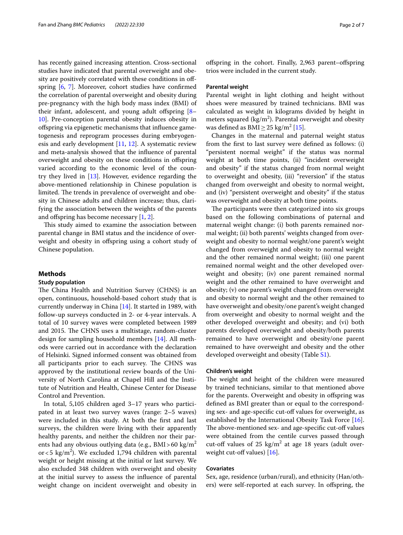has recently gained increasing attention. Cross-sectional studies have indicated that parental overweight and obesity are positively correlated with these conditions in ofspring [[6,](#page-6-4) [7\]](#page-6-5). Moreover, cohort studies have confrmed the correlation of parental overweight and obesity during pre-pregnancy with the high body mass index (BMI) of their infant, adolescent, and young adult offspring  $[8-$ [10\]](#page-6-7). Pre-conception parental obesity induces obesity in ofspring via epigenetic mechanisms that infuence gametogenesis and reprogram processes during embryogenesis and early development [[11](#page-6-8), [12](#page-6-9)]. A systematic review and meta-analysis showed that the infuence of parental overweight and obesity on these conditions in ofspring varied according to the economic level of the country they lived in [[13\]](#page-6-10). However, evidence regarding the above-mentioned relationship in Chinese population is limited. The trends in prevalence of overweight and obesity in Chinese adults and children increase; thus, clarifying the association between the weights of the parents and offspring has become necessary  $[1, 2]$  $[1, 2]$  $[1, 2]$ .

This study aimed to examine the association between parental change in BMI status and the incidence of overweight and obesity in ofspring using a cohort study of Chinese population.

# **Methods**

# **Study population**

The China Health and Nutrition Survey (CHNS) is an open, continuous, household-based cohort study that is currently underway in China [\[14\]](#page-6-12). It started in 1989, with follow-up surveys conducted in 2- or 4-year intervals. A total of 10 survey waves were completed between 1989 and 2015. The CHNS uses a multistage, random-cluster design for sampling household members [[14\]](#page-6-12). All methods were carried out in accordance with the declaration of Helsinki. Signed informed consent was obtained from all participants prior to each survey. The CHNS was approved by the institutional review boards of the University of North Carolina at Chapel Hill and the Institute of Nutrition and Health, Chinese Center for Disease Control and Prevention.

In total, 5,105 children aged 3–17 years who participated in at least two survey waves (range: 2–5 waves) were included in this study. At both the frst and last surveys, the children were living with their apparently healthy parents, and neither the children nor their parents had any obvious outlying data (e.g.,  $BMI > 60 \text{ kg/m}^2$ or < 5 kg/m<sup>2</sup>). We excluded 1,794 children with parental weight or height missing at the initial or last survey. We also excluded 348 children with overweight and obesity at the initial survey to assess the infuence of parental weight change on incident overweight and obesity in

ofspring in the cohort. Finally, 2,963 parent–ofspring trios were included in the current study.

# **Parental weight**

Parental weight in light clothing and height without shoes were measured by trained technicians. BMI was calculated as weight in kilograms divided by height in meters squared  $\frac{\text{kg}}{m^2}$ . Parental overweight and obesity was defined as  $\text{BMI} \geq 25 \text{ kg/m}^2 \,[15]$  $\text{BMI} \geq 25 \text{ kg/m}^2 \,[15]$  $\text{BMI} \geq 25 \text{ kg/m}^2 \,[15]$ .

Changes in the maternal and paternal weight status from the frst to last survey were defned as follows: (i) "persistent normal weight" if the status was normal weight at both time points, (ii) "incident overweight and obesity" if the status changed from normal weight to overweight and obesity, (iii) "reversion" if the status changed from overweight and obesity to normal weight, and (iv) "persistent overweight and obesity" if the status was overweight and obesity at both time points.

The participants were then categorized into six groups based on the following combinations of paternal and maternal weight change: (i) both parents remained normal weight; (ii) both parents' weights changed from overweight and obesity to normal weight/one parent's weight changed from overweight and obesity to normal weight and the other remained normal weight; (iii) one parent remained normal weight and the other developed overweight and obesity; (iv) one parent remained normal weight and the other remained to have overweight and obesity; (v) one parent's weight changed from overweight and obesity to normal weight and the other remained to have overweight and obesity/one parent's weight changed from overweight and obesity to normal weight and the other developed overweight and obesity; and (vi) both parents developed overweight and obesity/both parents remained to have overweight and obesity/one parent remained to have overweight and obesity and the other developed overweight and obesity (Table [S1](#page-5-0)).

## **Children's weight**

The weight and height of the children were measured by trained technicians, similar to that mentioned above for the parents. Overweight and obesity in offspring was defned as BMI greater than or equal to the corresponding sex- and age-specifc cut-of values for overweight, as established by the International Obesity Task Force [\[16](#page-6-14)]. The above-mentioned sex- and age-specific cut-off values were obtained from the centile curves passed through cut-off values of  $25 \text{ kg/m}^2$  at age 18 years (adult overweight cut-off values)  $[16]$  $[16]$ .

# **Covariates**

Sex, age, residence (urban/rural), and ethnicity (Han/others) were self-reported at each survey. In ofspring, the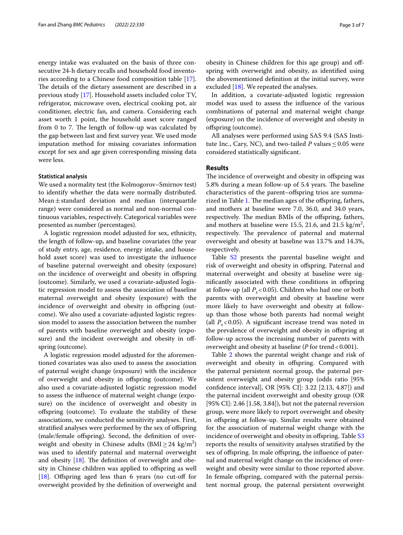energy intake was evaluated on the basis of three consecutive 24-h dietary recalls and household food inventories according to a Chinese food composition table [\[17](#page-6-15)]. The details of the dietary assessment are described in a previous study [\[17](#page-6-15)]. Household assets included color TV, refrigerator, microwave oven, electrical cooking pot, air conditioner, electric fan, and camera. Considering each asset worth 1 point, the household asset score ranged from 0 to 7. The length of follow-up was calculated by the gap between last and frst survey year. We used mode imputation method for missing covariates information except for sex and age given corresponding missing data were less.

# **Statistical analysis**

We used a normality test (the Kolmogorov–Smirnov test) to identify whether the data were normally distributed. Mean $\pm$ standard deviation and median (interquartile range) were considered as normal and non-normal continuous variables, respectively. Categorical variables were presented as number (percentages).

A logistic regression model adjusted for sex, ethnicity, the length of follow-up, and baseline covariates (the year of study entry, age, residence, energy intake, and household asset score) was used to investigate the infuence of baseline paternal overweight and obesity (exposure) on the incidence of overweight and obesity in ofspring (outcome). Similarly, we used a covariate-adjusted logistic regression model to assess the association of baseline maternal overweight and obesity (exposure) with the incidence of overweight and obesity in offspring (outcome). We also used a covariate-adjusted logistic regression model to assess the association between the number of parents with baseline overweight and obesity (exposure) and the incident overweight and obesity in offspring (outcome).

A logistic regression model adjusted for the aforementioned covariates was also used to assess the association of paternal weight change (exposure) with the incidence of overweight and obesity in ofspring (outcome). We also used a covariate-adjusted logistic regression model to assess the infuence of maternal weight change (exposure) on the incidence of overweight and obesity in ofspring (outcome). To evaluate the stability of these associations, we conducted the sensitivity analyses. First, stratifed analyses were performed by the sex of ofspring (male/female ofspring). Second, the defnition of overweight and obesity in Chinese adults  $(BMI \geq 24 \text{ kg/m}^2)$ was used to identify paternal and maternal overweight and obesity  $[18]$  $[18]$ . The definition of overweight and obesity in Chinese children was applied to offspring as well [[18\]](#page-6-16). Offspring aged less than 6 years (no cut-off for overweight provided by the defnition of overweight and

obesity in Chinese children for this age group) and offspring with overweight and obesity, as identifed using the abovementioned defnition at the initial survey, were excluded [[18](#page-6-16)]. We repeated the analyses.

In addition, a covariate-adjusted logistic regression model was used to assess the infuence of the various combinations of paternal and maternal weight change (exposure) on the incidence of overweight and obesity in ofspring (outcome).

All analyses were performed using SAS 9.4 (SAS Institute Inc., Cary, NC), and two-tailed *P* values  $\leq 0.05$  were considered statistically signifcant.

# **Results**

The incidence of overweight and obesity in offspring was 5.8% during a mean follow-up of 5.4 years. The baseline characteristics of the parent–ofspring trios are summa-rized in Table [1](#page-3-0). The median ages of the offspring, fathers, and mothers at baseline were 7.0, 36.0, and 34.0 years, respectively. The median BMIs of the offspring, fathers, and mothers at baseline were 15.5, 21.6, and 21.5 kg/m<sup>2</sup>, respectively. The prevalence of paternal and maternal overweight and obesity at baseline was 13.7% and 14.3%, respectively.

Table S<sub>2</sub> presents the parental baseline weight and risk of overweight and obesity in ofspring. Paternal and maternal overweight and obesity at baseline were signifcantly associated with these conditions in ofspring at follow-up (all  $P_s$ <0.05). Children who had one or both parents with overweight and obesity at baseline were more likely to have overweight and obesity at followup than those whose both parents had normal weight (all  $P_s$ <0.05). A significant increase trend was noted in the prevalence of overweight and obesity in offspring at follow-up across the increasing number of parents with overweight and obesity at baseline (*P* for trend <0.001).

Table [2](#page-3-1) shows the parental weight change and risk of overweight and obesity in ofspring. Compared with the paternal persistent normal group, the paternal persistent overweight and obesity group (odds ratio [95% confdence interval], OR [95% CI]: 3.22 [2.13, 4.87]) and the paternal incident overweight and obesity group (OR [95% CI]: 2.46 [1.58, 3.84]), but not the paternal reversion group, were more likely to report overweight and obesity in ofspring at follow-up. Similar results were obtained for the association of maternal weight change with the incidence of overweight and obesity in offspring. Table [S3](#page-5-0) reports the results of sensitivity analyses stratifed by the sex of offspring. In male offspring, the influence of paternal and maternal weight change on the incidence of overweight and obesity were similar to those reported above. In female ofspring, compared with the paternal persistent normal group, the paternal persistent overweight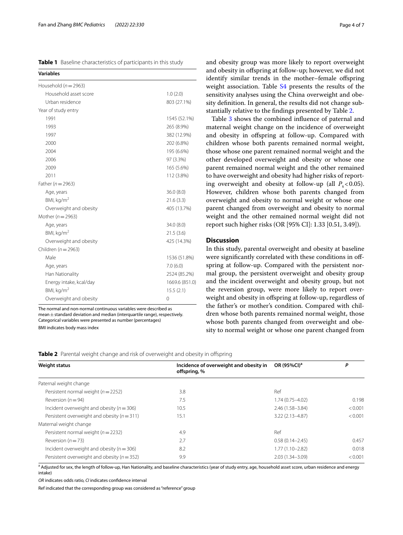<span id="page-3-0"></span>

| Table 1 Baseline characteristics of participants in this study |  |  |  |
|----------------------------------------------------------------|--|--|--|
|----------------------------------------------------------------|--|--|--|

| <b>Variables</b>         |                |
|--------------------------|----------------|
| Household ( $n = 2963$ ) |                |
| Household asset score    | 1.0(2.0)       |
| Urban residence          | 803 (27.1%)    |
| Year of study entry      |                |
| 1991                     | 1545 (52.1%)   |
| 1993                     | 265 (8.9%)     |
| 1997                     | 382 (12.9%)    |
| 2000                     | 202 (6.8%)     |
| 2004                     | 195 (6.6%)     |
| 2006                     | 97 (3.3%)      |
| 2009                     | 165 (5.6%)     |
| 2011                     | 112 (3.8%)     |
| Father ( $n = 2963$ )    |                |
| Age, years               | 36.0(8.0)      |
| BMI, $kg/m2$             | 21.6(3.3)      |
| Overweight and obesity   | 405 (13.7%)    |
| Mother ( $n = 2963$ )    |                |
| Age, years               | 34.0 (8.0)     |
| BMI, $kg/m2$             | 21.5(3.6)      |
| Overweight and obesity   | 425 (14.3%)    |
| Children ( $n = 2963$ )  |                |
| Male                     | 1536 (51.8%)   |
| Age, years               | 7.0(6.0)       |
| Han Nationality          | 2524 (85.2%)   |
| Energy intake, kcal/day  | 1669.6 (851.0) |
| BMI, kq/m <sup>2</sup>   | 15.5(2.1)      |
| Overweight and obesity   | 0              |

The normal and non-normal continuous variables were described as mean $+$ standard deviation and median (interquartile range), respectively. Categorical variables were presented as number (percentages)

BMI indicates body mass index

and obesity group was more likely to report overweight and obesity in ofspring at follow-up; however, we did not identify similar trends in the mother–female ofspring weight association. Table [S4](#page-5-0) presents the results of the sensitivity analyses using the China overweight and obesity defnition. In general, the results did not change substantially relative to the fndings presented by Table [2](#page-3-1).

Table [3](#page-4-0) shows the combined infuence of paternal and maternal weight change on the incidence of overweight and obesity in ofspring at follow-up. Compared with children whose both parents remained normal weight, those whose one parent remained normal weight and the other developed overweight and obesity or whose one parent remained normal weight and the other remained to have overweight and obesity had higher risks of reporting overweight and obesity at follow-up (all  $P_s$  < 0.05). However, children whose both parents changed from overweight and obesity to normal weight or whose one parent changed from overweight and obesity to normal weight and the other remained normal weight did not report such higher risks (OR [95% CI]: 1.33 [0.51, 3.49]).

# **Discussion**

In this study, parental overweight and obesity at baseline were signifcantly correlated with these conditions in ofspring at follow-up. Compared with the persistent normal group, the persistent overweight and obesity group and the incident overweight and obesity group, but not the reversion group, were more likely to report overweight and obesity in offspring at follow-up, regardless of the father's or mother's condition. Compared with children whose both parents remained normal weight, those whose both parents changed from overweight and obesity to normal weight or whose one parent changed from

<span id="page-3-1"></span>

|  |  | Table 2 Parental weight change and risk of overweight and obesity in offspring |  |
|--|--|--------------------------------------------------------------------------------|--|
|  |  |                                                                                |  |

| <b>Weight status</b>                            | Incidence of overweight and obesity in<br>offspring, % | OR (95%CI) <sup>a</sup> | Ρ       |
|-------------------------------------------------|--------------------------------------------------------|-------------------------|---------|
| Paternal weight change                          |                                                        |                         |         |
| Persistent normal weight ( $n = 2252$ )         | 3.8                                                    | Ref                     |         |
| Reversion ( $n = 94$ )                          | 7.5                                                    | $1.74(0.75 - 4.02)$     | 0.198   |
| Incident overweight and obesity ( $n = 306$ )   | 10.5                                                   | $2.46(1.58 - 3.84)$     | < 0.001 |
| Persistent overweight and obesity ( $n = 311$ ) | 15.1                                                   | $3.22(2.13 - 4.87)$     | < 0.001 |
| Maternal weight change                          |                                                        |                         |         |
| Persistent normal weight ( $n = 2232$ )         | 4.9                                                    | Ref                     |         |
| Reversion ( $n = 73$ )                          | 2.7                                                    | $0.58(0.14 - 2.45)$     | 0.457   |
| Incident overweight and obesity ( $n = 306$ )   | 8.2                                                    | $1.77(1.10 - 2.82)$     | 0.018   |
| Persistent overweight and obesity ( $n = 352$ ) | 9.9                                                    | $2.03(1.34 - 3.09)$     | < 0.001 |

<sup>a</sup> Adjusted for sex, the length of follow-up, Han Nationality, and baseline characteristics (year of study entry, age, household asset score, urban residence and energy intake)

*OR* indicates odds ratio, *CI* indicates confdence interval

Ref indicated that the corresponding group was considered as "reference" group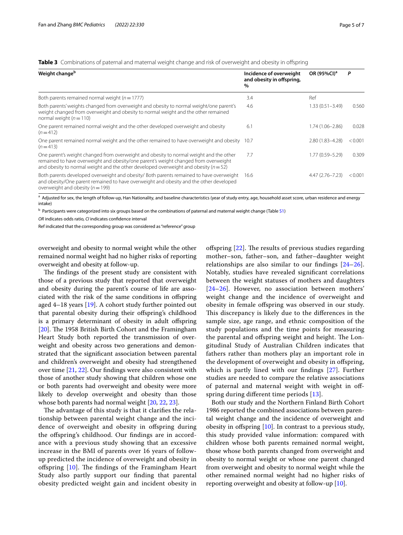<span id="page-4-0"></span>

| Table 3 Combinations of paternal and maternal weight change and risk of overweight and obesity in offspring |  |  |  |  |
|-------------------------------------------------------------------------------------------------------------|--|--|--|--|
|                                                                                                             |  |  |  |  |

| Weight change <sup>b</sup>                                                                                                                                                                                                                                                | Incidence of overweight<br>and obesity in offspring,<br>$\%$ | OR (95%CI) <sup>a</sup> | P       |
|---------------------------------------------------------------------------------------------------------------------------------------------------------------------------------------------------------------------------------------------------------------------------|--------------------------------------------------------------|-------------------------|---------|
| Both parents remained normal weight ( $n = 1777$ )                                                                                                                                                                                                                        | 3.4                                                          | Ref                     |         |
| Both parents' weights changed from overweight and obesity to normal weight/one parent's<br>weight changed from overweight and obesity to normal weight and the other remained<br>normal weight ( $n = 110$ )                                                              | 4.6                                                          | $1.33(0.51 - 3.49)$     | 0.560   |
| One parent remained normal weight and the other developed overweight and obesity<br>$(n=412)$                                                                                                                                                                             | 6.1                                                          | 1.74 (1.06-2.86)        | 0.028   |
| One parent remained normal weight and the other remained to have overweight and obesity 10.7<br>$(n=413)$                                                                                                                                                                 |                                                              | 2.80 (1.83-4.28)        | < 0.001 |
| One parent's weight changed from overweight and obesity to normal weight and the other<br>remained to have overweight and obesity/one parent's weight changed from overweight<br>and obesity to normal weight and the other developed overweight and obesity ( $n = 52$ ) | 7.7                                                          | 1.77 (0.59-5.29)        | 0.309   |
| Both parents developed overweight and obesity/ Both parents remained to have overweight<br>and obesity/One parent remained to have overweight and obesity and the other developed<br>overweight and obesity ( $n = 199$ )                                                 | 16.6                                                         | $4.47(2.76 - 7.23)$     | < 0.001 |

a Adjusted for sex, the length of follow-up, Han Nationality, and baseline characteristics (year of study entry, age, household asset score, urban residence and energy intake)

<sup>b</sup> Participants were categorized into six groups based on the combinations of paternal and maternal weight change (Table [S1](#page-5-0))

*OR* indicates odds ratio, *CI* indicates confdence interval

Ref indicated that the corresponding group was considered as "reference" group

overweight and obesity to normal weight while the other remained normal weight had no higher risks of reporting overweight and obesity at follow-up.

The findings of the present study are consistent with those of a previous study that reported that overweight and obesity during the parent's course of life are associated with the risk of the same conditions in ofspring aged 4–18 years [[19](#page-6-17)]. A cohort study further pointed out that parental obesity during their ofspring's childhood is a primary determinant of obesity in adult offspring [ $20$ ]. The 1958 British Birth Cohort and the Framingham Heart Study both reported the transmission of overweight and obesity across two generations and demonstrated that the signifcant association between parental and children's overweight and obesity had strengthened over time [\[21](#page-6-19), [22\]](#page-6-20). Our fndings were also consistent with those of another study showing that children whose one or both parents had overweight and obesity were more likely to develop overweight and obesity than those whose both parents had normal weight [\[20](#page-6-18), [22](#page-6-20), [23\]](#page-6-21).

The advantage of this study is that it clarifies the relationship between parental weight change and the incidence of overweight and obesity in offspring during the ofspring's childhood. Our fndings are in accordance with a previous study showing that an excessive increase in the BMI of parents over 16 years of followup predicted the incidence of overweight and obesity in offspring  $[10]$  $[10]$ . The findings of the Framingham Heart Study also partly support our fnding that parental obesity predicted weight gain and incident obesity in offspring  $[22]$ . The results of previous studies regarding mother–son, father–son, and father–daughter weight relationships are also similar to our fndings [[24–](#page-6-22)[26](#page-6-23)]. Notably, studies have revealed signifcant correlations between the weight statuses of mothers and daughters [[24](#page-6-22)[–26](#page-6-23)]. However, no association between mothers' weight change and the incidence of overweight and obesity in female ofspring was observed in our study. This discrepancy is likely due to the differences in the sample size, age range, and ethnic composition of the study populations and the time points for measuring the parental and offspring weight and height. The Longitudinal Study of Australian Children indicates that fathers rather than mothers play an important role in the development of overweight and obesity in offspring, which is partly lined with our fndings [\[27](#page-6-24)]. Further studies are needed to compare the relative associations of paternal and maternal weight with weight in ofspring during diferent time periods [\[13\]](#page-6-10).

Both our study and the Northern Finland Birth Cohort 1986 reported the combined associations between parental weight change and the incidence of overweight and obesity in offspring  $[10]$  $[10]$ . In contrast to a previous study, this study provided value information: compared with children whose both parents remained normal weight, those whose both parents changed from overweight and obesity to normal weight or whose one parent changed from overweight and obesity to normal weight while the other remained normal weight had no higher risks of reporting overweight and obesity at follow-up [[10](#page-6-7)].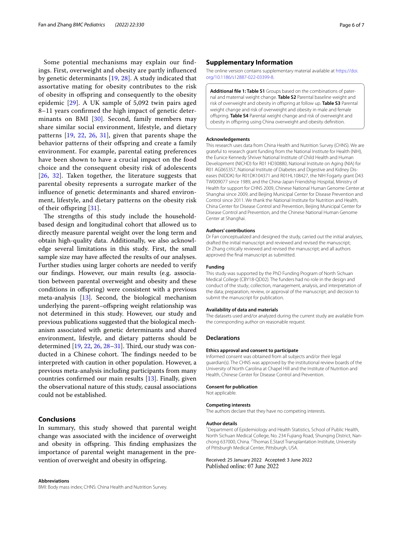Some potential mechanisms may explain our fndings. First, overweight and obesity are partly infuenced by genetic determinants [[19](#page-6-17), [28](#page-6-25)]. A study indicated that assortative mating for obesity contributes to the risk of obesity in ofspring and consequently to the obesity epidemic [\[29\]](#page-6-26). A UK sample of 5,092 twin pairs aged 8–11 years confrmed the high impact of genetic deter-minants on BMI [[30](#page-6-27)]. Second, family members may share similar social environment, lifestyle, and dietary patterns [[19,](#page-6-17) [22,](#page-6-20) [26](#page-6-23), [31\]](#page-6-28), given that parents shape the behavior patterns of their offspring and create a family environment. For example, parental eating preferences have been shown to have a crucial impact on the food choice and the consequent obesity risk of adolescents [[26](#page-6-23), [32\]](#page-6-29). Taken together, the literature suggests that parental obesity represents a surrogate marker of the infuence of genetic determinants and shared environment, lifestyle, and dietary patterns on the obesity risk of their offspring [[31\]](#page-6-28).

The strengths of this study include the householdbased design and longitudinal cohort that allowed us to directly measure parental weight over the long term and obtain high-quality data. Additionally, we also acknowledge several limitations in this study. First, the small sample size may have afected the results of our analyses. Further studies using larger cohorts are needed to verify our fndings. However, our main results (e.g. association between parental overweight and obesity and these conditions in ofspring) were consistent with a previous meta-analysis [\[13](#page-6-10)]. Second, the biological mechanism underlying the parent–ofspring weight relationship was not determined in this study. However, our study and previous publications suggested that the biological mechanism associated with genetic determinants and shared environment, lifestyle, and dietary patterns should be determined [[19](#page-6-17), [22,](#page-6-20) [26](#page-6-23), 28-[31](#page-6-28)]. Third, our study was conducted in a Chinese cohort. The findings needed to be interpreted with caution in other population. However, a previous meta-analysis including participants from many countries confrmed our main results [\[13](#page-6-10)]. Finally, given the observational nature of this study, causal associations could not be established.

# **Conclusions**

In summary, this study showed that parental weight change was associated with the incidence of overweight and obesity in offspring. This finding emphasizes the importance of parental weight management in the prevention of overweight and obesity in offspring.

#### **Abbreviations**

BMI: Body mass index; CHNS: China Health and Nutrition Survey.

# **Supplementary Information**

The online version contains supplementary material available at [https://doi.](https://doi.org/10.1186/s12887-022-03399-8) [org/10.1186/s12887-022-03399-8](https://doi.org/10.1186/s12887-022-03399-8).

<span id="page-5-0"></span>**Additional fle 1: Table S1** Groups based on the combinations of paternal and maternal weight change. **Table S2** Parental baseline weight and risk of overweight and obesity in ofspring at follow up. **Table S3** Parental weight change and risk of overweight and obesity in male and female ofspring. **Table S4** Parental weight change and risk of overweight and obesity in ofspring using China overweight and obesity defnition.

#### **Acknowledgements**

This research uses data from China Health and Nutrition Survey (CHNS). We are grateful to research grant funding from the National Institute for Health (NIH), the Eunice Kennedy Shriver National Institute of Child Health and Human Development (NICHD) for R01 HD30880, National Institute on Aging (NIA) for R01 AG065357, National Institute of Diabetes and Digestive and Kidney Diseases (NIDDK) for R01DK104371 and R01HL108427, the NIH Fogarty grant D43 TW009077 since 1989, and the China-Japan Friendship Hospital, Ministry of Health for support for CHNS 2009, Chinese National Human Genome Center at Shanghai since 2009, and Beijing Municipal Center for Disease Prevention and Control since 2011. We thank the National Institute for Nutrition and Health, China Center for Disease Control and Prevention, Beijing Municipal Center for Disease Control and Prevention, and the Chinese National Human Genome Center at Shanghai.

#### **Authors' contributions**

Dr Fan conceptualized and designed the study, carried out the initial analyses, drafted the initial manuscript and reviewed and revised the manuscript; Dr Zhang critically reviewed and revised the manuscript; and all authors approved the fnal manuscript as submitted.

#### **Funding**

This study was supported by the PhD Funding Program of North Sichuan Medical College (CBY18-QD02). The funders had no role in the design and conduct of the study; collection, management, analysis, and interpretation of the data; preparation, review, or approval of the manuscript; and decision to submit the manuscript for publication.

#### **Availability of data and materials**

The datasets used and/or analyzed during the current study are available from the corresponding author on reasonable request.

#### **Declarations**

#### **Ethics approval and consent to participate**

Informed consent was obtained from all subjects and/or their legal guardian(s). The CHNS was approved by the institutional review boards of the University of North Carolina at Chapel Hill and the Institute of Nutrition and Health, Chinese Center for Disease Control and Prevention.

#### **Consent for publication**

Not applicable.

#### **Competing interests**

The authors declare that they have no competing interests.

#### **Author details**

<sup>1</sup> Department of Epidemiology and Health Statistics, School of Public Health, North Sichuan Medical College, No. 234 Fujiang Road, Shunqing District, Nanchong 637000, China. <sup>2</sup>Thomas E.Starzl Transplantation Institute, University of Pittsburgh Medical Center, Pittsburgh, USA.

## Received: 25 January 2022 Accepted: 3 June 2022Published online: 07 June 2022